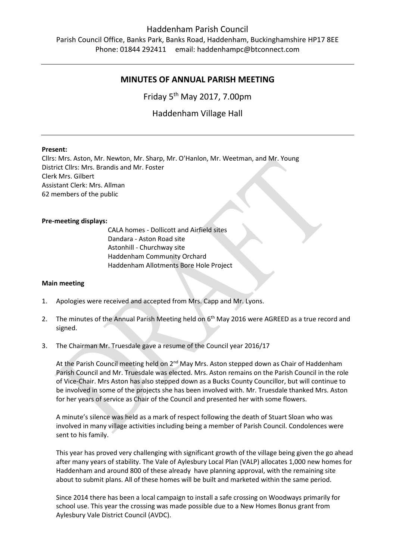## Haddenham Parish Council

Parish Council Office, Banks Park, Banks Road, Haddenham, Buckinghamshire HP17 8EE Phone: 01844 292411 email: haddenhampc@btconnect.com

# **MINUTES OF ANNUAL PARISH MEETING**

Friday 5<sup>th</sup> May 2017, 7.00pm

Haddenham Village Hall

## **Present:**

Cllrs: Mrs. Aston, Mr. Newton, Mr. Sharp, Mr. O'Hanlon, Mr. Weetman, and Mr. Young District Cllrs: Mrs. Brandis and Mr. Foster Clerk Mrs. Gilbert Assistant Clerk: Mrs. Allman 62 members of the public

### **Pre-meeting displays:**

CALA homes - Dollicott and Airfield sites Dandara - Aston Road site Astonhill - Churchway site Haddenham Community Orchard Haddenham Allotments Bore Hole Project

#### **Main meeting**

- 1. Apologies were received and accepted from Mrs. Capp and Mr. Lyons.
- 2. The minutes of the Annual Parish Meeting held on  $6<sup>th</sup>$  May 2016 were AGREED as a true record and signed.
- 3. The Chairman Mr. Truesdale gave a resume of the Council year 2016/17

At the Parish Council meeting held on 2<sup>nd</sup> May Mrs. Aston stepped down as Chair of Haddenham Parish Council and Mr. Truesdale was elected. Mrs. Aston remains on the Parish Council in the role of Vice-Chair. Mrs Aston has also stepped down as a Bucks County Councillor, but will continue to be involved in some of the projects she has been involved with. Mr. Truesdale thanked Mrs. Aston for her years of service as Chair of the Council and presented her with some flowers.

A minute's silence was held as a mark of respect following the death of Stuart Sloan who was involved in many village activities including being a member of Parish Council. Condolences were sent to his family.

This year has proved very challenging with significant growth of the village being given the go ahead after many years of stability. The Vale of Aylesbury Local Plan (VALP) allocates 1,000 new homes for Haddenham and around 800 of these already have planning approval, with the remaining site about to submit plans. All of these homes will be built and marketed within the same period.

Since 2014 there has been a local campaign to install a safe crossing on Woodways primarily for school use. This year the crossing was made possible due to a New Homes Bonus grant from Aylesbury Vale District Council (AVDC).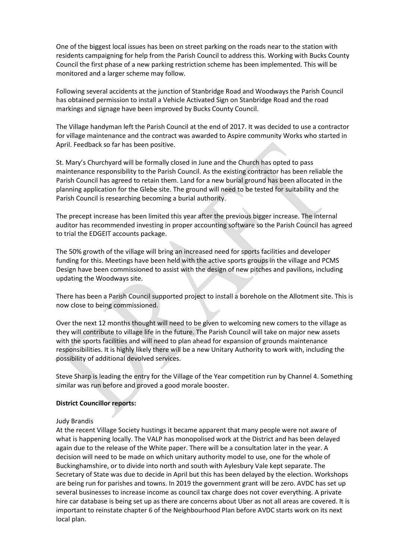One of the biggest local issues has been on street parking on the roads near to the station with residents campaigning for help from the Parish Council to address this. Working with Bucks County Council the first phase of a new parking restriction scheme has been implemented. This will be monitored and a larger scheme may follow.

Following several accidents at the junction of Stanbridge Road and Woodways the Parish Council has obtained permission to install a Vehicle Activated Sign on Stanbridge Road and the road markings and signage have been improved by Bucks County Council.

The Village handyman left the Parish Council at the end of 2017. It was decided to use a contractor for village maintenance and the contract was awarded to Aspire community Works who started in April. Feedback so far has been positive.

St. Mary's Churchyard will be formally closed in June and the Church has opted to pass maintenance responsibility to the Parish Council. As the existing contractor has been reliable the Parish Council has agreed to retain them. Land for a new burial ground has been allocated in the planning application for the Glebe site. The ground will need to be tested for suitability and the Parish Council is researching becoming a burial authority.

The precept increase has been limited this year after the previous bigger increase. The internal auditor has recommended investing in proper accounting software so the Parish Council has agreed to trial the EDGEIT accounts package.

The 50% growth of the village will bring an increased need for sports facilities and developer funding for this. Meetings have been held with the active sports groups in the village and PCMS Design have been commissioned to assist with the design of new pitches and pavilions, including updating the Woodways site.

There has been a Parish Council supported project to install a borehole on the Allotment site. This is now close to being commissioned.

Over the next 12 months thought will need to be given to welcoming new comers to the village as they will contribute to village life in the future. The Parish Council will take on major new assets with the sports facilities and will need to plan ahead for expansion of grounds maintenance responsibilities. It is highly likely there will be a new Unitary Authority to work with, including the possibility of additional devolved services.

Steve Sharp is leading the entry for the Village of the Year competition run by Channel 4. Something similar was run before and proved a good morale booster.

## **District Councillor reports:**

## Judy Brandis

At the recent Village Society hustings it became apparent that many people were not aware of what is happening locally. The VALP has monopolised work at the District and has been delayed again due to the release of the White paper. There will be a consultation later in the year. A decision will need to be made on which unitary authority model to use, one for the whole of Buckinghamshire, or to divide into north and south with Aylesbury Vale kept separate. The Secretary of State was due to decide in April but this has been delayed by the election. Workshops are being run for parishes and towns. In 2019 the government grant will be zero. AVDC has set up several businesses to increase income as council tax charge does not cover everything. A private hire car database is being set up as there are concerns about Uber as not all areas are covered. It is important to reinstate chapter 6 of the Neighbourhood Plan before AVDC starts work on its next local plan.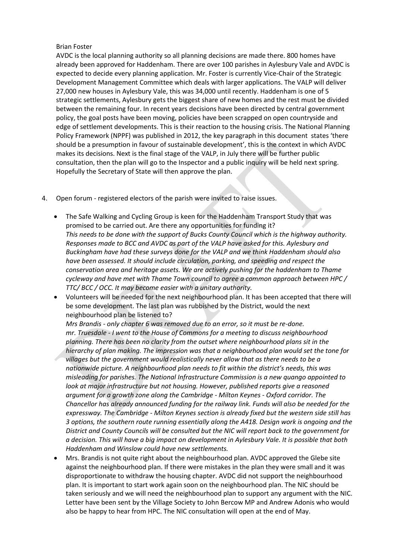## Brian Foster

AVDC is the local planning authority so all planning decisions are made there. 800 homes have already been approved for Haddenham. There are over 100 parishes in Aylesbury Vale and AVDC is expected to decide every planning application. Mr. Foster is currently Vice-Chair of the Strategic Development Management Committee which deals with larger applications. The VALP will deliver 27,000 new houses in Aylesbury Vale, this was 34,000 until recently. Haddenham is one of 5 strategic settlements, Aylesbury gets the biggest share of new homes and the rest must be divided between the remaining four. In recent years decisions have been directed by central government policy, the goal posts have been moving, policies have been scrapped on open countryside and edge of settlement developments. This is their reaction to the housing crisis. The National Planning Policy Framework (NPPF) was published in 2012, the key paragraph in this document states 'there should be a presumption in favour of sustainable development', this is the context in which AVDC makes its decisions. Next is the final stage of the VALP, in July there will be further public consultation, then the plan will go to the Inspector and a public inquiry will be held next spring. Hopefully the Secretary of State will then approve the plan.

- 4. Open forum registered electors of the parish were invited to raise issues.
	- The Safe Walking and Cycling Group is keen for the Haddenham Transport Study that was promised to be carried out. Are there any opportunities for funding it? *This needs to be done with the support of Bucks County Council which is the highway authority. Responses made to BCC and AVDC as part of the VALP have asked for this. Aylesbury and Buckingham have had these surveys done for the VALP and we think Haddenham should also have been assessed. It should include circulation, parking, and speeding and respect the conservation area and heritage assets. We are actively pushing for the haddenham to Thame cycleway and have met with Thame Town council to agree a common approach between HPC / TTC/ BCC / OCC. It may become easier with a unitary authority.*
	- Volunteers will be needed for the next neighbourhood plan. It has been accepted that there will be some development. The last plan was rubbished by the District, would the next neighbourhood plan be listened to?

*Mrs Brandis - only chapter 6 was removed due to an error, so it must be re-done. mr. Truesdale - I went to the House of Commons for a meeting to discuss neighbourhood planning. There has been no clarity from the outset where neighbourhood plans sit in the hierarchy of plan making. The impression was that a neighbourhood plan would set the tone for villages but the government would realistically never allow that as there needs to be a nationwide picture. A neighbourhood plan needs to fit within the district's needs, this was misleading for parishes. The National Infrastructure Commission is a new quango appointed to*  look at major infrastructure but not housing. However, published reports give a reasoned *argument for a growth zone along the Cambridge - Milton Keynes - Oxford corridor. The Chancellor has already announced funding for the railway link. Funds will also be needed for the expressway. The Cambridge - Milton Keynes section is already fixed but the western side still has 3 options, the southern route running essentially along the A418. Design work is ongoing and the District and County Councils will be consulted but the NIC will report back to the government for a decision. This will have a big impact on development in Aylesbury Vale. It is possible that both Haddenham and Winslow could have new settlements.*

 Mrs. Brandis is not quite right about the neighbourhood plan. AVDC approved the Glebe site against the neighbourhood plan. If there were mistakes in the plan they were small and it was disproportionate to withdraw the housing chapter. AVDC did not support the neighbourhood plan. It is important to start work again soon on the neighbourhood plan. The NIC should be taken seriously and we will need the neighbourhood plan to support any argument with the NIC. Letter have been sent by the Village Society to John Bercow MP and Andrew Adonis who would also be happy to hear from HPC. The NIC consultation will open at the end of May.